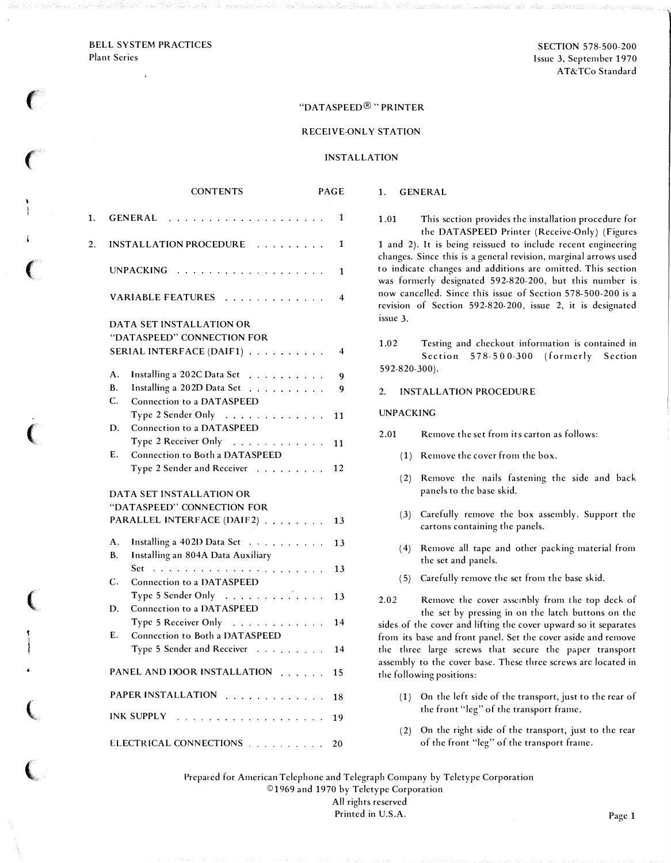#### BELL SYSTEM PRACTICES Plant Series

 $\epsilon$ 

 $\big($ 

 $\big($ 

 $\big($ 

(

! l<br>Little

 $\big($ 

 $\big($ 

# "DATASPEED®" PRINTER

# RECEIVE-ONLY STATION

## INSTALLATION

|    | <b>CONTENTS</b>                                                                                                | <b>PAGE</b>             |
|----|----------------------------------------------------------------------------------------------------------------|-------------------------|
| 1. | GENERAL<br>$\ddot{\phantom{a}}$                                                                                | 1                       |
| 2. | INSTALLATION PROCEDURE                                                                                         | 1                       |
|    |                                                                                                                | 1                       |
|    | VARIABLE FEATURES                                                                                              | 4                       |
|    | DATA SET INSTALLATION OR<br>"DATASPEED" CONNECTION FOR<br>SERIAL INTERFACE (DAIF1)                             | $\overline{\mathbf{4}}$ |
|    | A.<br>Installing a 202C Data Set<br><b>B.</b><br>Installing a 202D Data Set<br>C.<br>Connection to a DATASPEED | 9<br>9                  |
|    | Type 2 Sender Only<br>Connection to a DATASPEED<br>D.                                                          | 11                      |
|    | Type 2 Receiver Only<br>Connection to Both a DATASPEED<br>$E_{\rm{L}}$                                         | 11                      |
|    | Type 2 Sender and Receiver                                                                                     | 12                      |
|    | DATA SET INSTALLATION OR<br>"DATASPEED" CONNECTION FOR                                                         |                         |
|    | PARALLEL INTERFACE (DAIF2)                                                                                     | 13                      |
|    | A.<br>Installing a 402D Data Set<br>В.<br>Installing an 804A Data Auxiliary                                    | 13                      |
|    | C.<br><b>Connection to a DATASPEED</b>                                                                         | 13                      |
|    | Type 5 Sender Only<br>Connection to a DATASPEED<br>D.                                                          | 13                      |
|    | Type 5 Receiver Only                                                                                           | 14                      |
|    | Connection to Both a DATASPEED<br>Ε.<br>Type 5 Sender and Receiver                                             | 14                      |
|    | PANEL AND DOOR INSTALLATION                                                                                    | 15                      |
|    | PAPER INSTALLATION                                                                                             | 18                      |
|    | INK SUPPLY                                                                                                     | 19                      |
|    | ELECTRICAL CONNECTIONS [                                                                                       | 20                      |

1.01 This section provides the installation procedure for the DATASPEED Printer (Receive-Only) (Figures 1 and 2). It is being reissued to include recent engineering changes. Since this is a general revision, marginal arrows used to indicate changes and additions arc omitted. This section was formerly designated 592-820-200, but this number is now cancelled. Since this issue of Section 578-500-200 is a revision of Section 592-820-200, issue 2, it is designated issue 3.

1.02 Testing and checkout information is contained in Section 578-500-300 (formerly Section 592-820-300).

## 2. INSTALLATION PROCEDURE

#### UNPACKING

1. GENERAL

- 2.01 Remove the set from its carton as follows:
	- ( 1) Remove the cover from the box.
	- (2) Remove the nails fastening the side and back panels to the base skid.
	- (3) Carefully remove the box assembly. Support the cartons containing the panels.
	- ( 4) Remove all tape and other packing material from the set and panels.
	- ( 5) Carefully remove the set from the base skid.

2.02 Remove the cover assembly from the top deck of the set by pressing in on the latch buttons on the sides of the cover and lifting the cover upward so it separates from its base and front panel. Set the cover aside and remove the three large screws that secure the paper transport assembly to the cover base. These three screws arc located in the following positions:

- ( 1) On the left side of the transport, just to the rear of the front "leg" of the transport frame.
- ( 2) On the right side of the transport, just to the rear of the front "leg" of the transport frame.

Prepared for American Telephone and Telegraph Company by Teletype Corporation © 1969 and 1970 by Teletype Corporation All rights reserved Printed in U.S.A. Page 1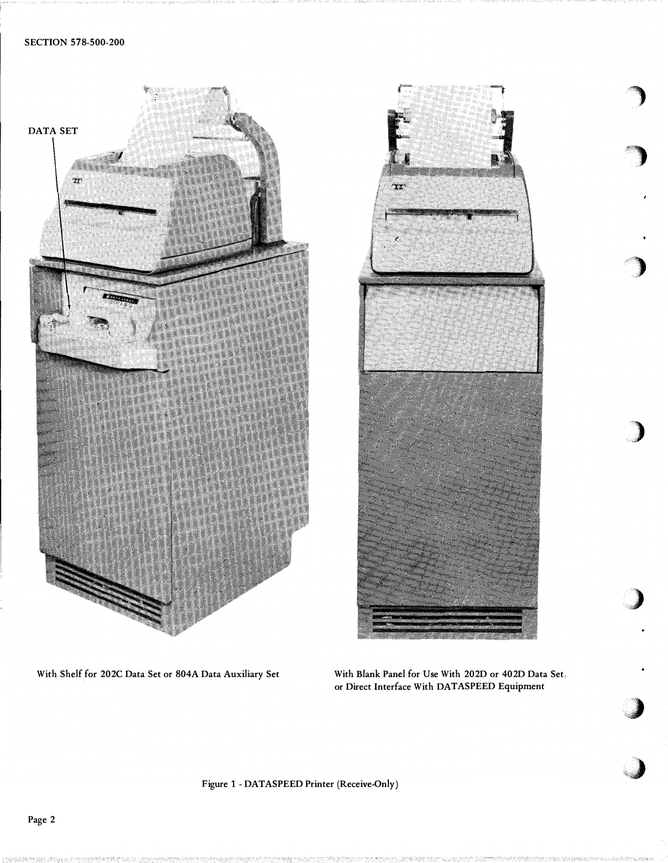



With Shelf for 202C Data Set or 804A Data Auxiliary Set With Blank Panel for Use With 202D or 402D Data Set.

or Direct Interface With DATASPEED Equipment

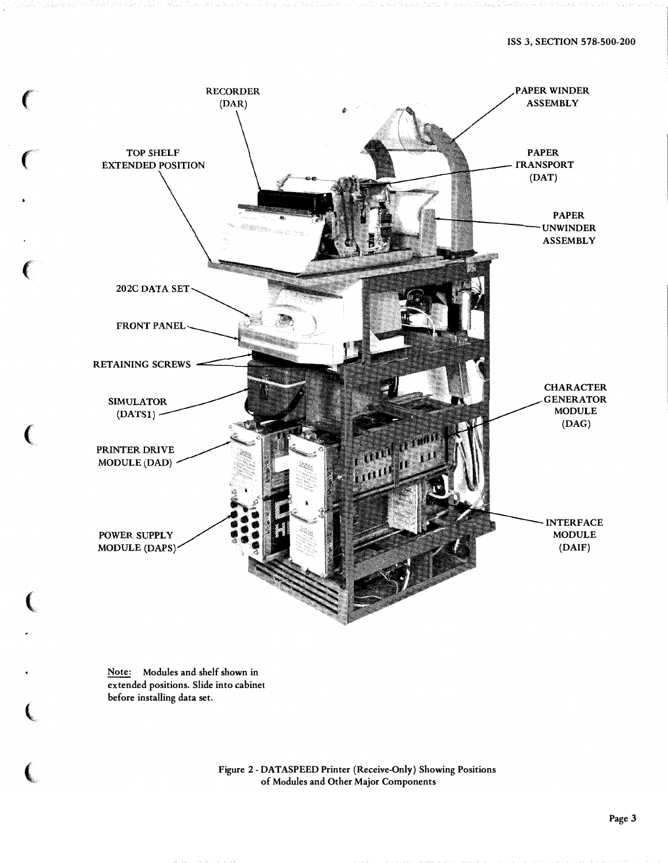

Note: Modules and shelf shown in extended positions. Slide into cabinet before installing data set.

 $\big($ 

Figure 2- DATASPEED Printer (Receive-Only) Showing Positions of Modules and Other Major Components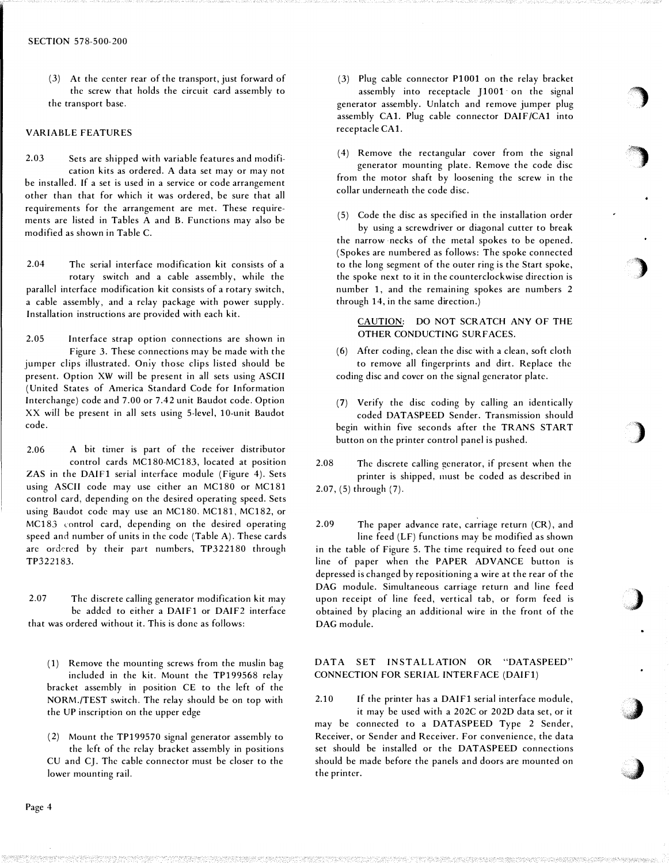(3) At the center rear of the transport, just forward of the screw that holds the circuit card assembly to the transport base.

#### VARIABLE FEATURES

2.03 Sets are shipped with variable features and modification kits as ordered. A data set may or may not be installed. If a set is used in a service or code arrangement other than that for which it was ordered, be sure that all requirements for the arrangement are met. These requirements are listed in Tables A and B. Functions may also be modified as shown in Table C.

2.04 The serial interface modification kit consists of a rotary switch and a cable assembly, while the parallel interface modification kit consists of a rotary switch, a cable assembly, and a relay package with power supply. Installation instructions are provided with each kit.

2.05 Interface strap option connections are shown in Figure 3. These connections may be made with the jumper clips illustrated. Only those clips listed should be present. Option XW will be present in all sets using ASCII (United States of America Standard Code for Information Interchange) code and 7.00 or 7.42 unit Baudot code. Option XX will be present in all sets using 5-level, 10-unit Baudot code.

2.06 A bit timer is part of the receiver distributor control cards MC180-MC183, located at position ZAS in the DAIFl serial interface module (Figure 4). Sets using ASCII code may use either an MC180 or MC181 control card, depending on the desired operating speed. Sets using Baudot code may use an MC180. MC181, MC182, or MC183 control card, depending on the desired operating speed and number of units in the code (Table A). These cards are ordered by their part numbers, TP322180 through TP322183.

2.07 The discrete calling generator modification kit may be added to either a DAIF1 or DAIF2 interface that was ordered without it. This is done as follows:

- ( 1) Remove the mounting screws from the muslin bag included in the kit. Mount the TP199568 relay bracket assembly in position CE to the left of the NORM./TEST switch. The relay should be on top with the UP inscription on the upper edge
- (2) Mount the TP199570 signal generator assembly to the left of the relay bracket assembly in positions CU and CJ. The cable connector must be closer to the lower mounting rail.

(3) Plug cable connector PlOOl on the relay bracket assembly into receptacle J1001 on the signal generator assembly. Unlatch and remove jumper plug assembly CAl. Plug cable connector DAIF /CAl into receptacle CAl.

)

 $\big)$ 

)

)

)

,J

- (4) Remove the rectangular cover from the signal generator mounting plate. Remove the code disc from the motor shaft by loosening the screw in the collar underneath the code disc.
- (5) Code the disc as specified in the installation order by using a screwdriver or diagonal cutter to break the narrow necks of the metal spokes to be opened. (Spokes are numbered as follows: The spoke connected to the long segment of the outer ring is the Start spoke, the spoke next to it in the counterclockwise direction is number 1, and the remaining spokes are numbers 2 through 14, in the same direction.)

## CAUTION: DO NOT SCRATCH ANY OF THE OTHER CONDUCTING SURFACES.

- (6) After coding, clean the disc with a clean, soft cloth to remove all fingerprints and dirt. Replace the coding disc and cover on the signal generator plate.
- (7) Verify the disc coding by calling an identically coded DATASPEED Sender. Transmission should begin within five seconds after the TRANS START button on the printer control panel is pushed.
- 2.08 The discrete calling generator, if present when the printer is shipped, must be coded as described in 2.07, (5) through (7).

2.09 The paper advance rate, carriage return  $(CR)$ , and line feed (LF) functions may be modified as shown in the table of Figure 5. The time required to feed out one line of paper when the PAPER ADVANCE button is depressed is changed by repositioning a wire at the rear of the DAG module. Simultaneous carriage return and line feed upon receipt of line feed, vertical tab, or form feed is obtained by placing an additional wire in the front of the DAG module.

## DATA SET INSTALLATION OR "DATASPEED" CONNECTION FOR SERIAL INTERFACE (DAIFl)

2.10 If the printer has a DAIFl serial interface module, it may be used with a 202C or 2020 data set, or it may be connected to a DATASPEED Type 2 Sender, Receiver, or Sender and Receiver. For convenience, the data set should be installed or the DATASPEED connections should be made before the panels and doors are mounted on the printer.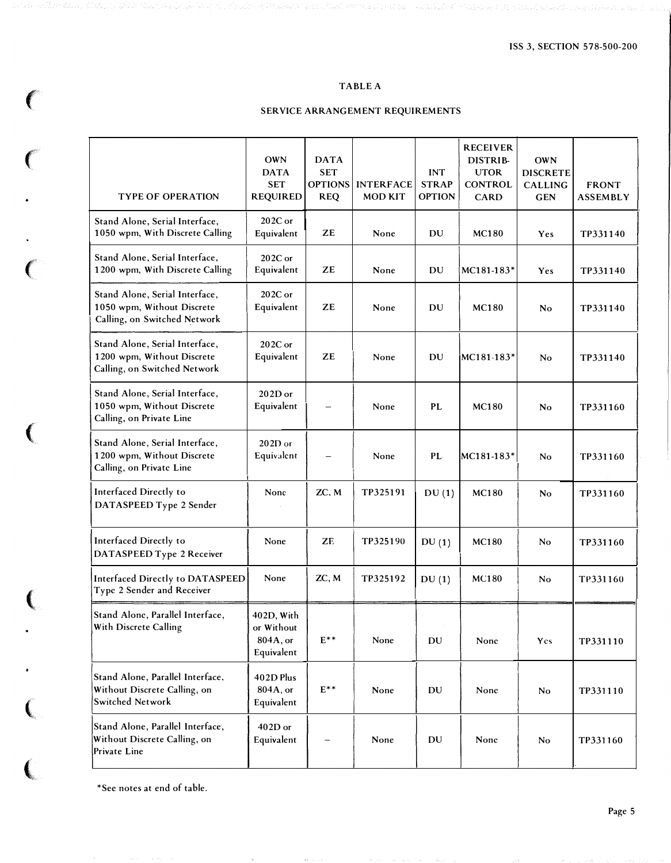# TABLE A

# **CONSTRUCE ARRANGEMENT REQUIREMENTS**

| <b>TYPE OF OPERATION</b>                                                                     | <b>OWN</b><br><b>DATA</b><br><b>SET</b><br><b>REQUIRED</b> | <b>DATA</b><br><b>SET</b><br><b>OPTIONS</b><br><b>REQ</b> | <b>INTERFACE</b><br><b>MOD KIT</b> | <b>INT</b><br><b>STRAP</b><br><b>OPTION</b> | <b>RECEIVER</b><br>DISTRIB-<br><b>UTOR</b><br><b>CONTROL</b><br><b>CARD</b> | <b>OWN</b><br><b>DISCRETE</b><br><b>CALLING</b><br><b>GEN</b> | <b>FRONT</b><br><b>ASSEMBLY</b> |
|----------------------------------------------------------------------------------------------|------------------------------------------------------------|-----------------------------------------------------------|------------------------------------|---------------------------------------------|-----------------------------------------------------------------------------|---------------------------------------------------------------|---------------------------------|
| Stand Alone, Serial Interface,<br>1050 wpm, With Discrete Calling                            | $202C$ or<br>Equivalent                                    | ZE                                                        | None                               | DU                                          | <b>MC180</b>                                                                | Yes                                                           | TP331140                        |
| Stand Alone, Serial Interface,<br>1200 wpm, With Discrete Calling                            | $202C$ or<br>Equivalent                                    | ZE                                                        | None                               | DU                                          | MC181-183*                                                                  | Yes                                                           | TP331140                        |
| Stand Alone, Serial Interface,<br>1050 wpm, Without Discrete<br>Calling, on Switched Network | $202C$ or<br>Equivalent                                    | ZE                                                        | None                               | DU                                          | <b>MC180</b>                                                                | No                                                            | TP331140                        |
| Stand Alone, Serial Interface,<br>1200 wpm, Without Discrete<br>Calling, on Switched Network | $202C$ or<br>Equivalent                                    | ZE                                                        | None                               | DU                                          | $MC181-183*$                                                                | N <sub>o</sub>                                                | TP331140                        |
| Stand Alone, Serial Interface,<br>1050 wpm, Without Discrete<br>Calling, on Private Line     | $202D$ or<br>Equivalent                                    |                                                           | None                               | <b>PL</b>                                   | <b>MC180</b>                                                                | No                                                            | TP331160                        |
| Stand Alone, Serial Interface,<br>1200 wpm, Without Discrete<br>Calling, on Private Line     | $202D$ or<br>Equivalent                                    |                                                           | None                               | PL                                          | MC181-183*                                                                  | No                                                            | TP331160                        |
| Interfaced Directly to<br>DATASPEED Type 2 Sender                                            | None                                                       | ZC, M                                                     | TP325191                           | DU(1)                                       | <b>MC180</b>                                                                | No                                                            | TP331160                        |
| Interfaced Directly to<br>DATASPEED Type 2 Receiver                                          | None                                                       | ZE                                                        | TP325190                           | DU(1)                                       | <b>MC180</b>                                                                | No                                                            | TP331160                        |
| Interfaced Directly to DATASPEED<br>Type 2 Sender and Receiver                               | None                                                       | ZC, M                                                     | TP325192                           | DU(1)                                       | <b>MC180</b>                                                                | No                                                            | TP331160                        |
| Stand Alone, Parallel Interface,<br>With Discrete Calling                                    | 402D, With<br>or Without<br>804A, or<br>Equivalent         | $E^{**}$                                                  | None                               | DU                                          | None                                                                        | Yes                                                           | TP331110                        |
| Stand Alone, Parallel Interface,<br>Without Discrete Calling, on<br>Switched Network         | 402D Plus<br>804A, or<br>Equivalent                        | $E^{**}$                                                  | None                               | DU                                          | None                                                                        | N <sub>o</sub>                                                | TP331110                        |
| Stand Alone, Parallel Interface,<br>Without Discrete Calling, on<br>Private Line             | $402D$ or<br>Equivalent                                    |                                                           | None                               | DU                                          | None                                                                        | No                                                            | TP331160                        |

\*Sec notes at end of table.

 $\big($ 

 $\ddot{\bullet}$ 

 $\overline{C}$ 

 $\sim$ 

(

 $\big($ 

 $\big($ 

 $\overline{\mathbf{C}}$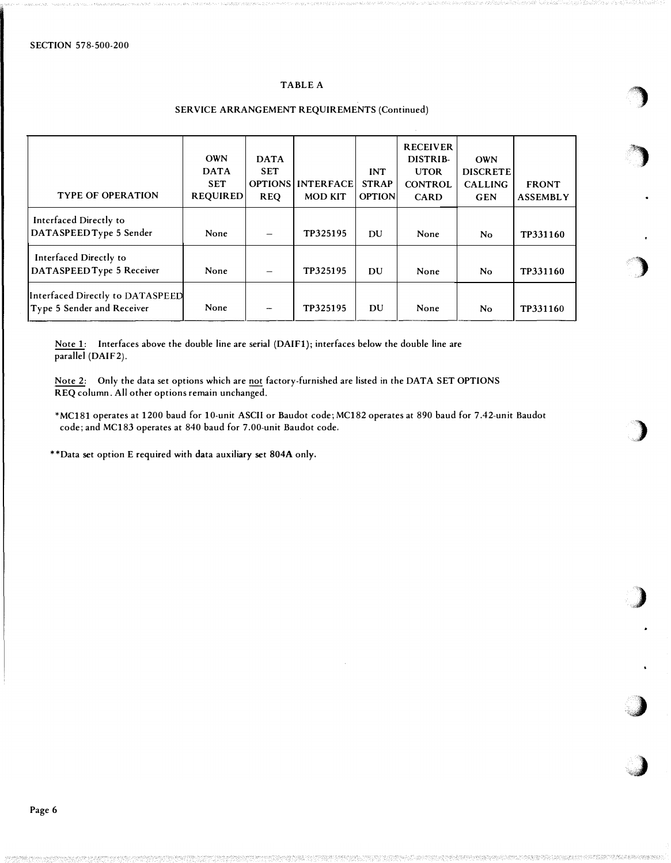## TABLE A

| <b>TYPE OF OPERATION</b>                                       | <b>OWN</b><br><b>DATA</b><br><b>SET</b><br><b>REQUIRED</b> | <b>DATA</b><br><b>SET</b><br><b>REQ</b> | OPTIONS   INTERFACE<br><b>MOD KIT</b> | <b>INT</b><br><b>STRAP</b><br><b>OPTION</b> | <b>RECEIVER</b><br>DISTRIB-<br><b>UTOR</b><br><b>CONTROL</b><br><b>CARD</b> | <b>OWN</b><br><b>DISCRETE</b><br><b>CALLING</b><br><b>GEN</b> | <b>FRONT</b><br><b>ASSEMBLY</b> |
|----------------------------------------------------------------|------------------------------------------------------------|-----------------------------------------|---------------------------------------|---------------------------------------------|-----------------------------------------------------------------------------|---------------------------------------------------------------|---------------------------------|
| Interfaced Directly to<br>DATASPEED Type 5 Sender              | None                                                       |                                         | TP325195                              | DU                                          | None                                                                        | No                                                            | TP331160                        |
| Interfaced Directly to<br>DATASPEED Type 5 Receiver            | None                                                       |                                         | TP325195                              | DU                                          | None                                                                        | No                                                            | TP331160                        |
| Interfaced Directly to DATASPEED<br>Type 5 Sender and Receiver | None                                                       |                                         | TP325195                              | DU                                          | None                                                                        | No                                                            | TP331160                        |

## SERVICE ARRANGEMENT REQUIREMENTS (Continued)

''· ,

graduation de la comparacción de la comparacción de la comparacción de la comparacción de la comparacción de<br>Altre de la comparacción de la comparacción de la comparacción de la comparacción de la comparacción de la com

)

�)

 $\blacktriangleright$ 

,,)

 $\lambda$ 

Note 1: Interfaces above the double line are serial (DAIFl); interfaces below the double line are parallel (DAIF2).

Note 2: Only the data set options which are not factory-furnished are listed in the DATA SET OPTIONS REQ column. All other options remain unchanged.

\*MC181 operates at 1200 baud for 1 0-unit ASCII or Baudot code; MC182 operates at 890 baud for 7 .42-unit Baudot code; and MC183 operates at 840 baud for 7.00-unit Baudot code.

\*\*Data set option E required with data auxiliary set 804A only.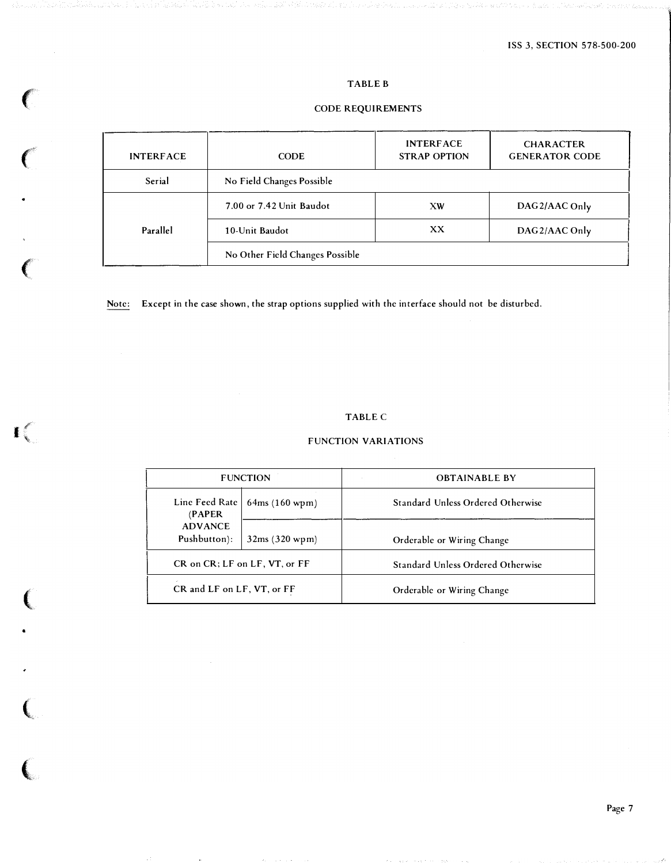# TABLE B

# CODE REQUIREMENTS

| <b>INTERFACE</b> | <b>CODE</b>                     | <b>INTERFACE</b><br><b>STRAP OPTION</b> | <b>CHARACTER</b><br><b>GENERATOR CODE</b> |  |
|------------------|---------------------------------|-----------------------------------------|-------------------------------------------|--|
| Serial           | No Field Changes Possible       |                                         |                                           |  |
|                  | 7.00 or 7.42 Unit Baudot        | XW                                      | DAG2/AAC Only                             |  |
| Parallel         | 10-Unit Baudot                  | XX.                                     | DAG2/AAC Only                             |  |
|                  | No Other Field Changes Possible |                                         |                                           |  |

Note: Except in the case shown, the strap options supplied with the interface should not be disturbed.

 $\mathbf{I}$  .

(

•

 $\ell$ '·

 $\overline{C}$ 

 $\ell$ 

 $\big($ 

 $\left($ 

 $\frac{1}{\sqrt{2}}$ 

# TABLE C

# FUNCTION VARIATIONS

|                                | <b>FUNCTION</b>               | <b>OBTAINABLE BY</b>                     |  |  |
|--------------------------------|-------------------------------|------------------------------------------|--|--|
| Line Feed Rate<br>(PAPER)      | 64ms(160 wpm)                 | <b>Standard Unless Ordered Otherwise</b> |  |  |
| <b>ADVANCE</b><br>Pushbutton): | 32ms (320 wpm)                | Orderable or Wiring Change               |  |  |
|                                | CR on CR; LF on LF, VT, or FF | Standard Unless Ordered Otherwise        |  |  |
| CR and LF on LF, VT, or FF     |                               | Orderable or Wiring Change               |  |  |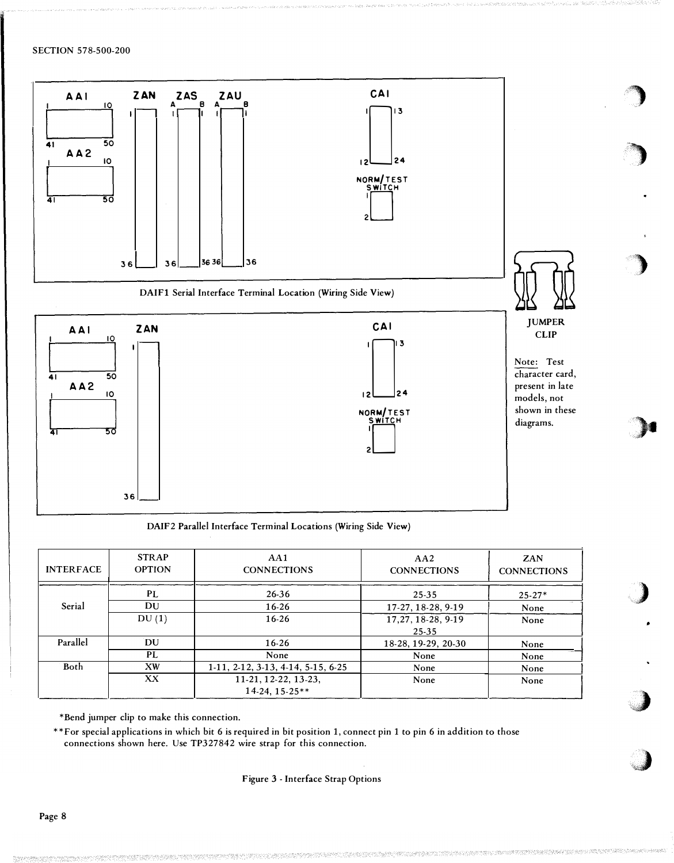

)

)

)

.>-

)

 $\bigcup$ 

DAIF2 Parallel Interface Terminal Locations (Wiring Side View)

| <b>INTERFACE</b> | <b>STRAP</b><br><b>OPTION</b> | AA1<br><b>CONNECTIONS</b>          | AA2<br><b>CONNECTIONS</b> | ZAN<br><b>CONNECTIONS</b> |    |
|------------------|-------------------------------|------------------------------------|---------------------------|---------------------------|----|
|                  | PL                            | 26-36                              | 25-35                     | $25-27*$                  |    |
| Serial           | DU                            | 16-26                              | 17-27, 18-28, 9-19        | None                      |    |
|                  | DU(1)                         | 16-26                              | 17, 27, 18-28, 9-19       | None                      |    |
|                  |                               |                                    | 25-35                     |                           |    |
| Parallel         | DU                            | 16-26                              | 18-28, 19-29, 20-30       | None                      |    |
|                  | PL                            | None                               | None                      | None                      |    |
| Both             | XW                            | 1-11, 2-12, 3-13, 4-14, 5-15, 6-25 | None                      | None                      | м. |
|                  | XX                            | 11-21, 12-22, 13-23,               | None                      | None                      |    |
|                  |                               | $14-24, 15-25**$                   |                           |                           |    |

\*Bend jumper clip to make this connection.

\*\*For special applications in which bit 6 is required in bit position 1, connect pin 1 to pin 6 in addition to those connections shown here. Use TP327842 wire strap for this connection.

## Figure 3 -Interface Strap Options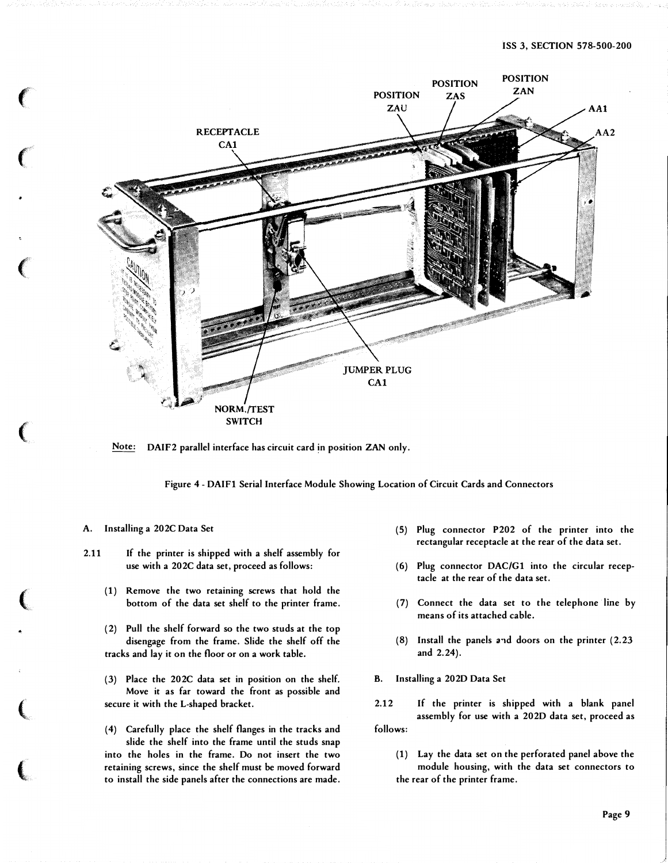

Note: DAIF2 parallel interface has circuit card in position ZAN only.

Figure 4 - DAIF1 Serial Interface Module Showing Location of Circuit Cards and Connectors

#### A. Installing a 202C Data Set

**CONTRACTOR** 

- 2.11 If the printer is shipped with a shelf assembly for use with a 202C data set, proceed as follows:
	- ( 1) Remove the two retaining screws that hold the bottom of the data set shelf to the printer frame.
	- (2) Pull the shelf forward so the two studs at the top disengage from the frame. Slide the shelf off the tracks and lay it on the floor or on a work table.
	- (3) Place the 202C data set in position on the shelf. Move it as far toward the front as possible and secure it with the L-shaped bracket.

(4) Carefully place the shelf flanges in the tracks and slide the shelf into the frame until the studs snap into the holes in the frame. Do not insert the two retaining screws, since the shelf must be moved forward to install the side panels after the connections are made.

- (5) Plug connector P202 of the printer into the rectangular receptacle at the rear of the data set.
- (6) Plug connector DAC/G1 into the circular receptacle at the rear of the data set.
- (7) Connect the data set to the telephone line by means of its attached cable.
- $(8)$  Install the panels and doors on the printer  $(2.23)$ and 2.24).
- B. Installing a 202D Data Set
- 2.12 If the printer is shipped with a blank panel assembly for use with a 202D data set, proceed as follows:
	- (1) Lay the data set on the perforated panel above the module housing, with the data set connectors to the rear of the printer frame.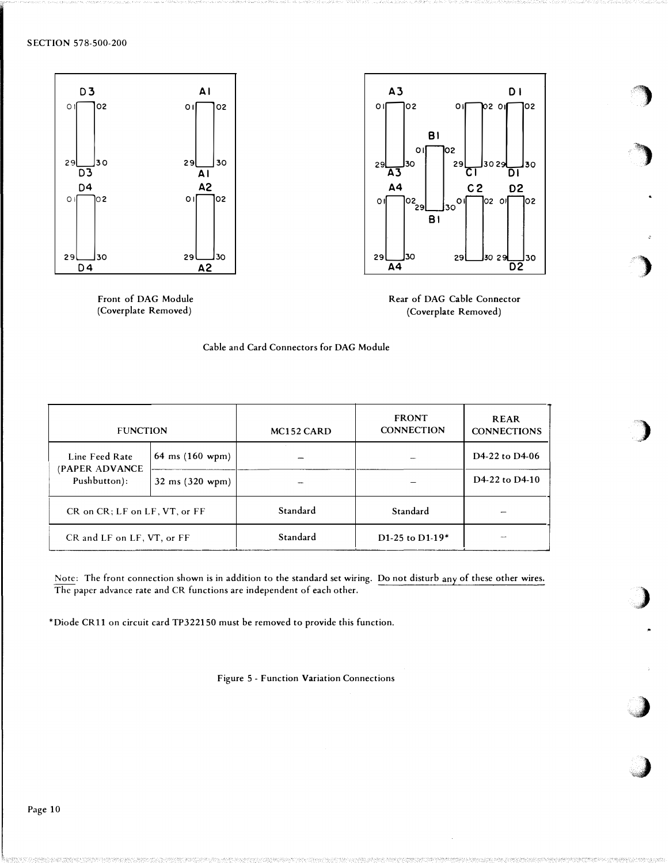

Front of DAG Module (Coverplate Removed)



�)

)

)

)

)

 $\overline{\phantom{a}}$ 

 $\bigcup$ 



| <b>FUNCTION</b>                              |                                    | MC152 CARD | <b>FRONT</b><br><b>CONNECTION</b> | <b>REAR</b><br><b>CONNECTIONS</b>        |
|----------------------------------------------|------------------------------------|------------|-----------------------------------|------------------------------------------|
| Line Feed Rate<br>(PAPER ADVANCE             | 64 ms $(160 \text{ wpm})$          |            |                                   | D4-22 to D4-06                           |
| Pushbutton):                                 | $32 \text{ ms } (320 \text{ wpm})$ |            |                                   | D <sub>4</sub> -22 to D <sub>4</sub> -10 |
| $CR$ on $CR$ ; $LF$ on $LF$ , $VT$ , or $FF$ |                                    | Standard   | Standard                          |                                          |
| CR and LF on LF, VT, or FF                   |                                    | Standard   | D1-25 to D1-19 $*$                |                                          |

Note: The front connection shown is in addition to the standard set wiring. Do not disturb any of these other wires. The paper advance rate and CR functions are independent of each other.

\*Diode CRll on circuit card TP322150 must be removed to provide this function.

Figure 5-Function Variation Connections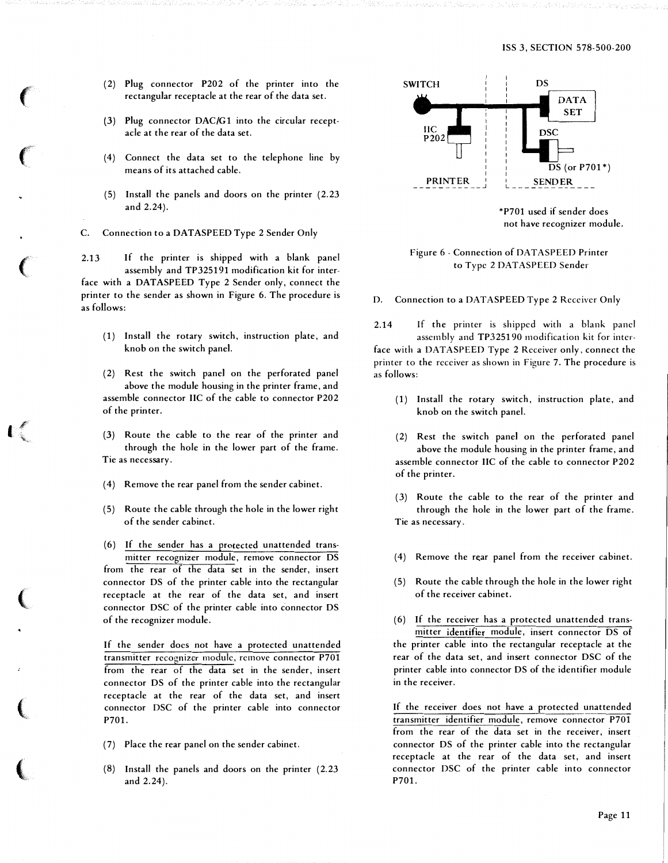- (2) Plug connector P202 of the printer into the rectangular receptacle at the rear of the data set.
- (3) Plug connector DAC/G1 into the circular receptacle at the rear of the data set.
- (4) Connect the data set to the telephone line by means of its attached cable.
- (5) Install the panels and doors on the printer (2.23 and 2.24).
- C. Connection to a DATASPEED Type 2 Sender Only

2.13 If the printer is shipped with a blank panel assembly and TP325191 modification kit for interface with a DATASPEED Type 2 Sender only, connect the printer to the sender as shown in Figure 6. The procedure is as follows:

- (1) Install the rotary switch, instruction plate, and knob on the switch panel.
- (2) Rest the switch panel on the perforated panel above the module housing in the printer frame, and assemble connector IIC of the cable to connector P202 of the printer.
- (3) Route the cable to the rear of the printer and through the hole in the lower part of the frame. Tie as necessary.
- (4) Remove the rear panel from the sender cabinet.

 $\mathbf{I}$  ,

 $\sim$   $\sim$   $\sim$   $\sim$ 

(5) Route the cable through the hole in the lower right of the sender cabinet.

( 6) If the sender has a protected unattended transmitter recognizer module, remove connector DS from the rear of the data set in the sender, insert connector DS of the printer cable into the rectangular receptacle at the rear of the data set, and insert connector DSC of the printer cable into connector DS of the recognizer module.

If the sender docs not have a protected unattended transmitter recognizer module, remove connector P701 from the rear of the data set in the sender, insert connector DS of the printer cable into the rectangular receptacle at the rear of the data set, and insert connector DSC of the printer cable into connector P701.

- (7) Place the rear panel on the sender cabinet.
- (8) Install the panels and doors on the printer (2.23 and 2.24).



Figure 6- Connection of DATASPEED Printer to Type 2 DATASPEED Sender

D. Connection to a DATASPEED Type 2 Receiver Only

2.14 If the printer is shipped with a blank panel assembly and TP325190 modification kit for interface with a DATASPEED Type 2 Receiver only, connect the printer to the receiver as shown in Figure 7. The procedure is as follows:

- (1) Install the rotary switch, instruction plate, and knob on the switch panel.
- (2) Rest the switch panel on the perforated panel above the module housing in the printer frame, and assemble connector IIC of the cable to connector P202 of the printer.
- (3) Route the cable to the rear of the printer and through the hole in the lower part of the frame. Tie as necessary.
- (4) Remove the rear panel from the receiver cabinet.
- ( 5) Route the cable through the hole in the lower right of the receiver cabinet.
- ( 6) If the receiver has a protected unattended transmitter identifier module, insert connector DS of the printer cable into the rectangular receptacle at the rear of the data set, and insert connector DSC of the printer cable into connector DS of the identifier module in the receiver.

If the receiver does not have a protected unattended transmitter identifier module, remove connector P701 from the rear of the data set in the receiver, insert connector DS of the printer cable into the rectangular receptacle at the rear of the data set, and insert connector DSC of the printer cable into connector P701.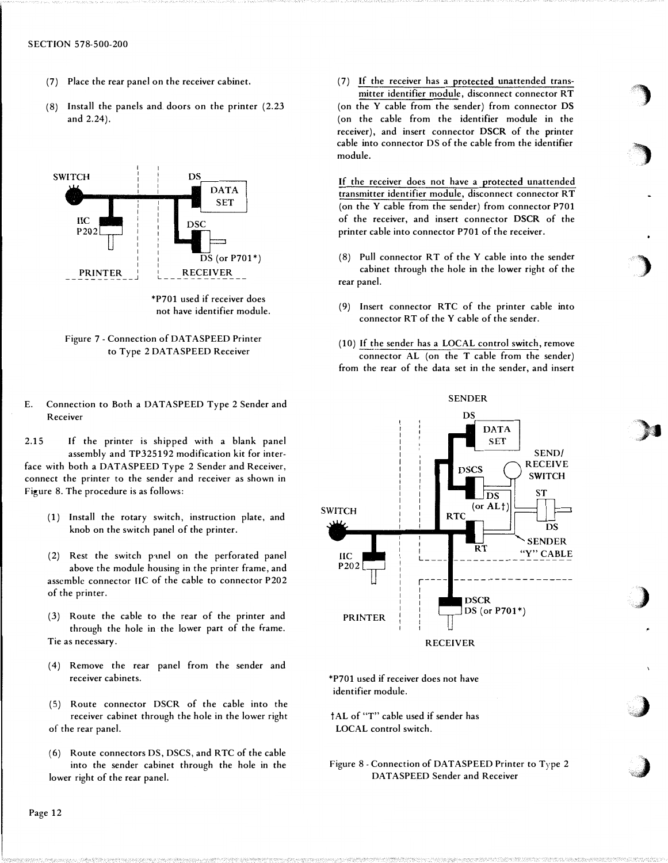- (7) Place the rear panel on the receiver cabinet.
- (8) Install the panels and. doors on the printer (2.23 and 2.24).



<sup>\*</sup>P701 used if receiver does not have identifier module.



- E. Connection to Both a DATASPEED Type 2 Sender and Receiver
- 2.15 If the printer is shipped with a blank panel assembly and TP325192 modification kit for interface with both a DATASPEED Type 2 Sender and Receiver, connect the printer to the sender and receiver as shown in Figure 8. The procedure is as follows:
	- (1) Install the rotary switch, instruction plate, and knob on the switch panel of the printer.
	- $(2)$  Rest the switch panel on the perforated panel above the module housing in the printer frame, and assemble connector IIC of the cable to connector P202 of the printer.
	- (3) Route the cable to the rear of the printer and through the hole in the lower part of the frame. Tie as necessary.
	- ( 4) Remove the rear panel from the sender and receiver cabinets.
	- ( 5) Route connector DSCR of the cable into the receiver cabinet through the hole in the lower right of the rear panel.
	- (6) Route connectors DS, DSCS, and RTC of the cable into the sender cabinet through the hole in the lower right of the rear panel.

## (7) If the receiver has a protected unattended transmitter identifier module, disconnect connector RT

(on the Y cable from the sender) from connector DS (on the cable from the identifier module in the receiver), and insert connector DSCR of the printer cable into connector DS of the cable from the identifier module.

If the receiver does not have a protected unattended transmitter identifier module, disconnect connector RT (on the Y cable from the sender) from connector P701 of the receiver, and insert connector DSCR of the printer cable into connector P701 of the receiver.

- (8) Pull connector RT of the Y cable into the sender cabinet through the hole in the lower right of the rear panel.
- (9) Insert connector RTC of the printer cable into connector RT of the Y cable of the sender.
- (10) If the sender has a LOCAL control switch, remove connector AL (on the T cable from the sender) from the rear of the data set in the sender, and insert



\*P701 used if receiver does not have identifier module.

tAL of "T" cable used if sender has LOCAL control switch.

Figure 8 - Connection of DATASPEED Printer to  $Type 2$ DATASPEED Sender and Receiver

where the contract of the contract of the contract of the contract of the contract of the contract of the contract of the contract of the contract of the contract of the contract of the contract of the contract of the cont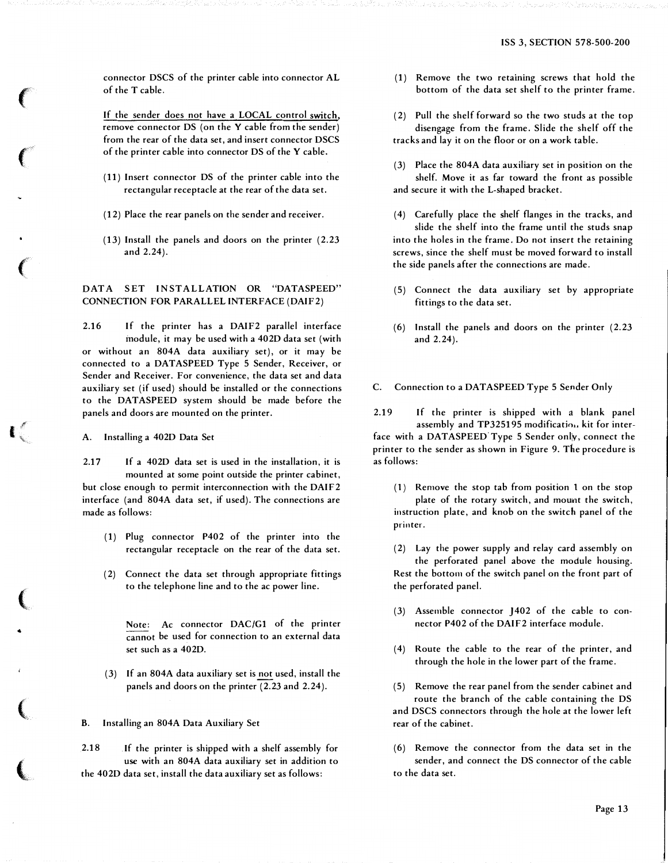connector DSCS of the printer cable into connector AL of the T cable.

If the sender does not have a LOCAL control switch, remove connector DS (on the Y cable from the sender) from the rear of the data set, and insert connector DSCS of the printer cable into connector DS of the Y cable.

- (11) Insert connector DS of the printer cable into the rectangular receptacle at the rear of the data set.
- (12) Place the rear panels on the sender and receiver.
- (13) Install the panels and doors on the printer (2.23 and 2.24).

## DATA SET INSTALLATION OR "DATASPEED" CONNECTION FOR PARALLEL INTERFACE (DAIF2)

2.16 If the printer has a DAIF2 parallel interface module, it may be used with a 4020 data set (with or without an 804A data auxiliary set), or it may be connected to a DATASPEED Type 5 Sender, Receiver, or Sender and Receiver. For convenience, the data set and data auxiliary set (if used) should be installed or the connections to the DATASPEED system should be made before the panels and doors are mounted on the printer.

A. Installing a 4020 Data Set

**CONTRACTOR** 

•

2.17 If a 4020 data set is used in the installation, it is mounted at some point outside the printer cabinet, but close enough to permit interconnection with the DAIF2 interface (and 804A data set, if used). The connections are made as follows:

- ( 1) Plug connector P402 of the printer into the rectangular receptacle on the rear of the data set.
- (2) Connect the data set through appropriate fittings to the telephone line and to the ac power line.

Note: Ac connector DAC/G1 of the printer cannot be used for connection to an external data set such as a 4020.

(3) If an 804A data auxiliary set is not used, install the panels and doors on the printer (2.23 and 2.24).

B. Installing an 804A Data Auxiliary Set

2.18 If the printer is shipped with a shelf assembly for use with an 804A data auxiliary set in addition to the 4020 data set, install the data auxiliary set as follows:

- (1) Remove the two retaining screws that hold the bottom of the data set shelf to the printer frame.
- (2) Pull the shelf forward so the two studs at the top disengage from the frame. Slide the shelf off the tracks and lay it on the floor or on a work table.
- (3) Place the 804A data auxiliary set in position on the shelf. Move it as far toward the front as possible and secure it with the L-shaped bracket.
- ( 4) Carefully place the shelf flanges in the tracks, and slide the shelf into the frame until the studs snap into the holes in the frame. Do not insert the retaining screws, since the shelf must be moved forward to install the side panels after the connections are made.
- ( 5) Connect the data auxiliary set by appropriate fittings to the data set.
- (6) Install the panels and doors on the printer (2.23 and 2.24).
- C. Connection to a DATASPEED Type 5 Sender Only

2.19 If the printer is shipped with a blank panel assembly and TP325195 modification kit for interface with a DATASPEED Type 5 Sender only, connect the printer to the sender as shown in Figure 9. The procedure is as follows:

( 1) Remove the stop tab from position l on the stop plate of the rotary switch, and mount the switch, instruction plate, and knob on the switch panel of the printer.

(2) Lay the power supply and relay card assembly on the perforated panel above the module housing. Rest the bottom of the switch panel on the front part of the perforated panel.

- (3) Assemble connector J402 of the cable to connector P402 of the DAIF2 interface module.
- ( 4) Route the cable to the rear of the printer, and through the hole in the lower part of the frame.

(5) Remove the rear panel from the sender cabinet and route the branch of the cable containing the DS and DSCS connectors through the hole at the lower left rear of the cabinet.

(6) Remove the connector from the data set in the sender, and connect the DS connector of the cable to the data set.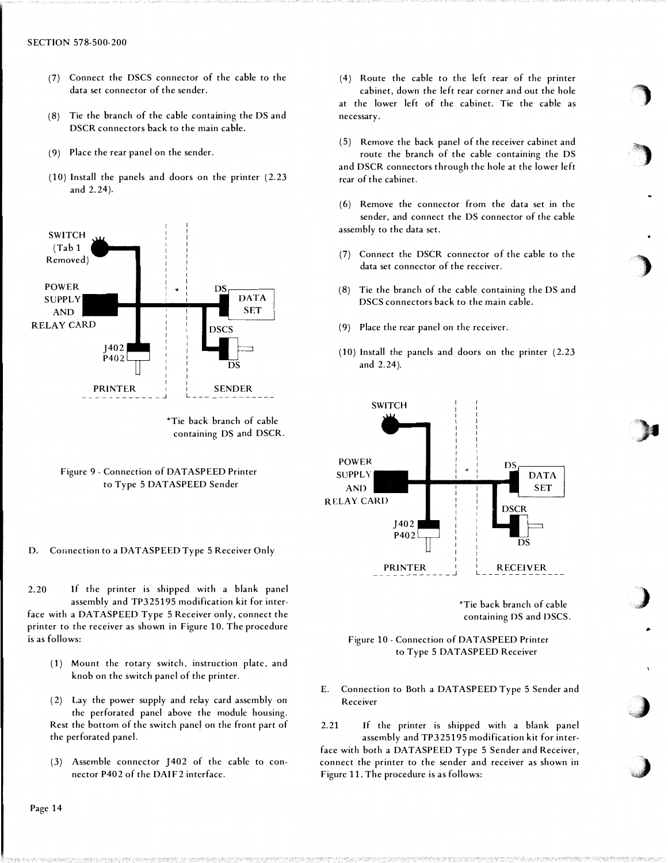- (7) Connect the DSCS connector of the cable to the data set connector of the sender.
- ( 8) Tie the branch of the cable containing the DS and DSCR connectors back to the main cable.
- (9) Place the rear panel on the sender.
- (10) Install the panels and doors on the printer (2.23 and 2.24).



<sup>\*</sup>Tie back branch of cable containing DS and DSCR.

D. Connection to a DATASPEED Type 5 Receiver Only

2.20 If the printer is shipped with a blank panel assembly and TP325195 modification kit for interface with a DATASPEED Type 5 Receiver only, connect the printer to the receiver as shown in Figure 10. The procedure is as follows:

(1) Mount the rotary switch, instruction plate, and knob on the switch panel of the printer.

( 2) Lay the power supply and relay card assembly on the perforated panel above the module housing. Rest the bottom of the switch panel on the front part of the perforated panel.

(3) Assemble connector J402 of the cable to connector P402 of the DAIF2 interface.

- ( 4) Route the cable to the left rear of the printer cabinet, down the left rear corner and out the hole at the lower left of the cabinet. Tie the cable as necessary.
- ( 5) Remove the back panel of the receiver cabinet and route the branch of the cable containing the DS and DSCR connectors through the hole at the lower left rear of the cabinet.
- ( 6) Remove the connector from the data set in the sender, and connect the DS connector of the cable assembly to the data set.
- (7) Connect the DSCR connector of the cable to the data set connector of the receiver.
- (8) Tie the branch of the cable containing the DS and DSCS connectors back to the main cable.
- (9) Place the rear panel on the receiver.
- (10) Install the panels and doors on the printer (2.23 and 2.24).



\*Tie back branch of cable containing DS and DSCS.

�

**just the contract of the contract of the contract of the contract of the contract of the contract of the contract of the contract of the contract of the contract of the contract of the contract of the contract of the cont** "-;c:::

## Figure 10 - Connection of DATA SPEED Printer to Type 5 DATASPEED Receiver

E. Connection to Both a DATASPEED Type 5 Sender and Receiver

2.21 If the printer is shipped with a blank panel assembly and TP325195 modification kit for interface with both a DATASPEED Type 5 Sender and Receiver, connect the printer to the sender and receiver as shown in Figure 11. The procedure is as follows:

Figure 9 - Connection of DATASPEED Printer to Type 5 DATASPEED Sender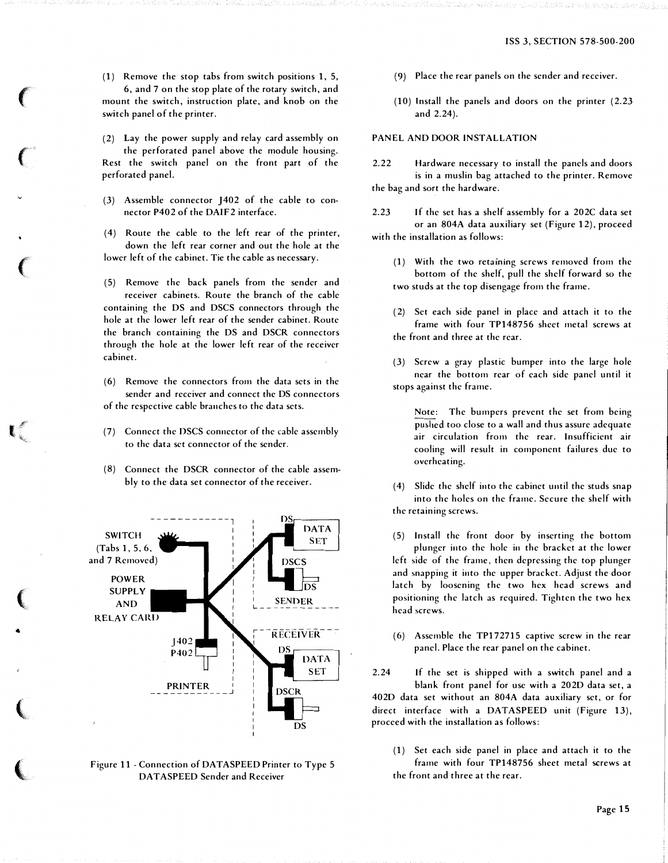(1) Remove the stop tabs from switch positions 1, 5, 6, and 7 on the stop plate of the rotary switch, and mount the switch, instruction plate, and knob on the switch panel of the printer.

(2) Lay the power supply and relay card assembly on

the perforated panel above the module housing. Rest the switch panel on the front part of the perforated panel.

(3) Assemble connector J402 of the cable to connector P402 of the DAIF2 interface.

( 4) Route the cable to the left rear of the printer, down the left rear corner and out the hole at the lower left of the cabinet. Tie the cable as necessary.

( 5) Remove the back panels from the sender and receiver cabinets. Route the branch of the cable containing the DS and DSCS connectors through the hole at the lower left rear of the sender cabinet. Route the branch containing the DS and DSCR connectors through the hole at the lower left rear of the receiver cabinet.

( 6) Remove the connectors from the data sets in the sender and receiver and connect the DS connectors of the respective cable branches to the data sets.

- (7) Connect the DSCS connector of the cable assembly to the data set connector of the sender.
- (8) Connect the DSCR connector of the cable assembly to the data set connector of the receiver.



**CONTRACTOR** 

•

Figure 11 - Connection of DATASPEED Printer to Type 5 DAT ASPEED Sender and Receiver

- (9) Place the rear panels on the sender and receiver.
- (10) Install the panels and doors on the printer (2.23 and 2.24).

## PANEL AND DOOR INSTALLATION

2.22 Hardware necessary to install the panels and doors is in a muslin bag attached to the printer. Remove the bag and sort the hardware.

2.23 If the set has a shelf assembly for a 202C data set or an 804A data auxiliary set (Figure 12), proceed with the installation as follows:

- (1) With the two retaining screws removed from the bottom of the shelf, pull the shelf forward so the two studs at the top disengage from the frame.
- ( 2) Set each side panel in place and attach it to the frame with four TP148756 sheet metal screws at the front and three at the rear.
- (3) Screw a gray plastic bumper into the large hole near the bottom rear of each side panel until it stops against the frame.

Note: The bumpers prevent the set from being pushed too close to a wall and thus assure adequate air circulation from the rear. Insufficient air cooling will result in component failures due to overheating.

( 4) Slide the shelf into the cabinet until the studs snap into the holes on the frame. Secure the shelf with the retaining screws.

(5) Install the front door by inserting the bottom <sup>p</sup>lunger into the hole in the bracket at the lower left side of the frame, then depressing the top plunger and snapping it into the upper bracket. Adjust the door latch by loosening the two hex head screws and positioning the latch as required. Tighten the two hex head screws.

(6) Assemble the TP172715 captive screw in the rear panel. Place the rear panel on the cabinet.

2.24 If the set is shipped with a switch panel and a blank front panel for usc with a 2020 data set, a 4020 data set without an 804A data auxiliary set, or for direct interface with a DATASPEED unit (Figure 13). proceed with the installation as follows:

(1) Set each side panel in place and attach it to the frame with four TP148756 sheet metal screws at the front and three at the rear.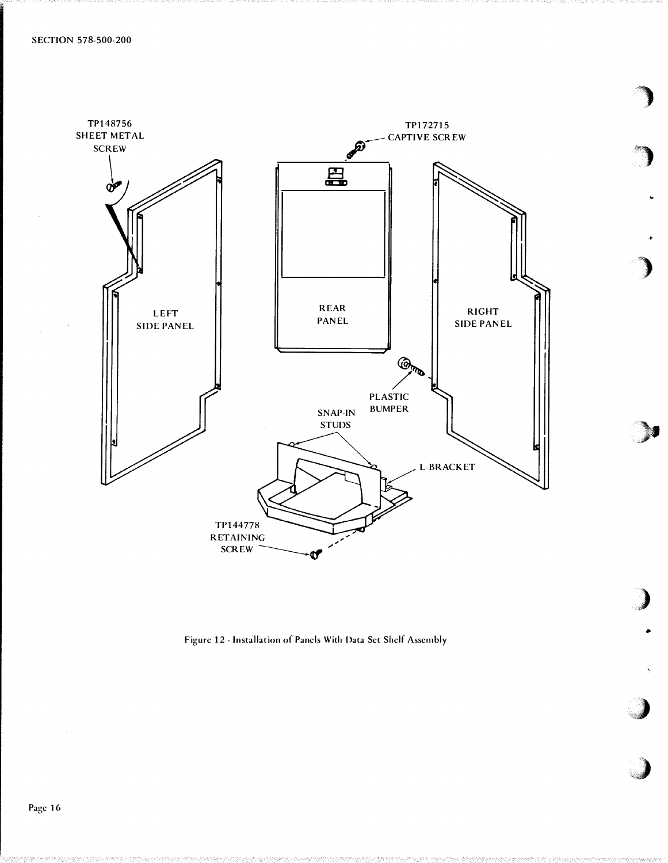

)

'�'i)

)

 $\blacksquare$ 

,,)

•

 $\rightarrow$ 

)

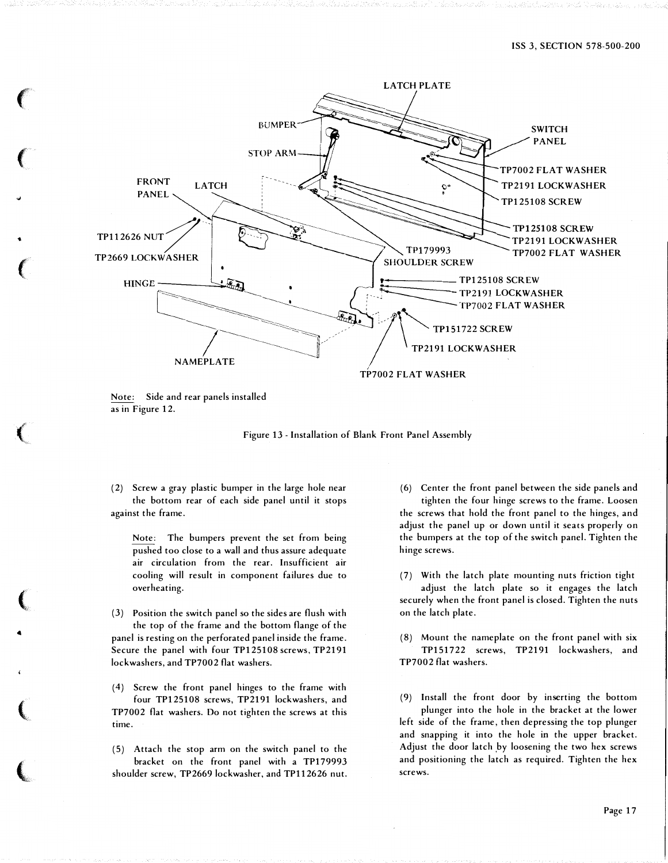

Note: Side and rear panels installed as in Figure 12.

"'

...

..

**In the case of the case of the case of the case of the case of the case of the case of the case of the case of the case of the case of the case of the case of the case of the case of the case of the case of the case of th** 



(2) Screw a gray plastic bumper in the large hole near the bottom rear of each side panel until it stops against the frame.

Note: The bumpers prevent the set from being pushed too close to a wall and thus assure adequate air circulation from the rear. Insufficient air cooling will result in component failures due to overheating.

(3) Position the switch panel so the sides are flush with the top of the frame and the bottom flange of the panel is resting on the perforated panel inside the frame. Secure the panel with four TP125108 screws, TP2191 lockwashers, and TP7002 flat washers.

(4) Screw the front panel hinges to the frame with four TP125108 screws, TP2191 lockwashers, and TP7002 flat washers. Do not tighten the screws at this time.

( 5) Attach the stop arm on the switch panel to the bracket on the front panel with a TP179993 shoulder screw, TP2669 lock washer, and TP112626 nut.

(6) Center the front panel between the side panels and tighten the four hinge screws to the frame. Loosen the screws that hold the front panel to the hinges, and adjust the panel up or down until it seats properly on the bumpers at the top of the switch panel. Tighten the hinge screws.

(7) With the latch plate mounting nuts friction tight adjust the latch plate so it engages the latch securely when the front panel is closed. Tighten the nuts on the latch plate.

(8) Mount the nameplate on the front panel with six TP151722 screws, TP2191 lockwashers, and TP7002 flat washers.

(9) Install the front door by inserting the bottom <sup>p</sup>lunger into the hole in the bracket at the lower left side of the frame, then depressing the top plunger and snapping it into the hole in the upper bracket. Adjust the door latch by loosening the two hex screws and positioning the latch as required. Tighten the hex screws.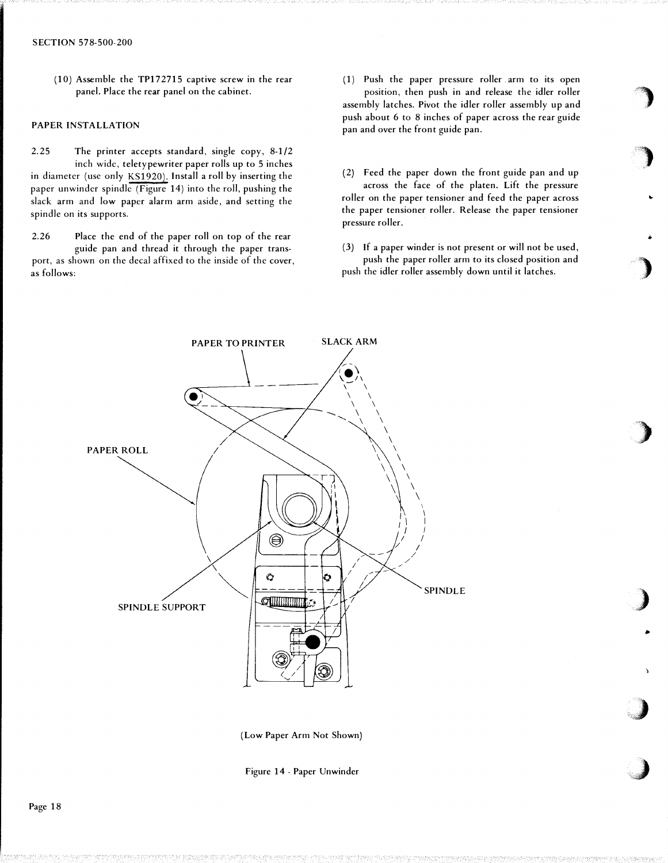( 10) Assemble the TP1 72715 captive screw in the rear panel. Place the rear panel on the cabinet.

## PAPER INSTALLATION

2.25 The printer accepts standard, single copy, 8-1/2 inch wide, teletypewriter paper rolls up to 5 inches in diameter (usc only KS1920). Install a roll by inserting the paper unwinder spindle (Figure 14) into the roll, pushing the slack arm and low paper alarm arm aside, and setting the spindle on its supports.

2.26 Place the end of the paper roll on top of the rear guide pan and thread it through the paper transport, as shown on the decal affixed to the inside of the cover, as follows:

( 1) Push the paper pressure roller arm to its open position, then push in and release the idler roller assembly latches. Pivot the idler roller assembly up and push about 6 to 8 inches of paper across the rear guide pan and over the front guide pan.

(2) Feed the paper down the front guide pan and up across the face of the platen. Lift the pressure roller on the paper tensioner and feed the paper across the paper tensioner roller. Release the paper tensioner pressure roller.

(3) If a paper winder is not present or will not be used, push the paper roller arm to its closed position and push the idler roller assembly down until it latches.

•

 $\mathbf{r}$ •

·.·)·· ' J· ..



(Low Paper Arm Not Shown)

Figure 14- Paper Unwinder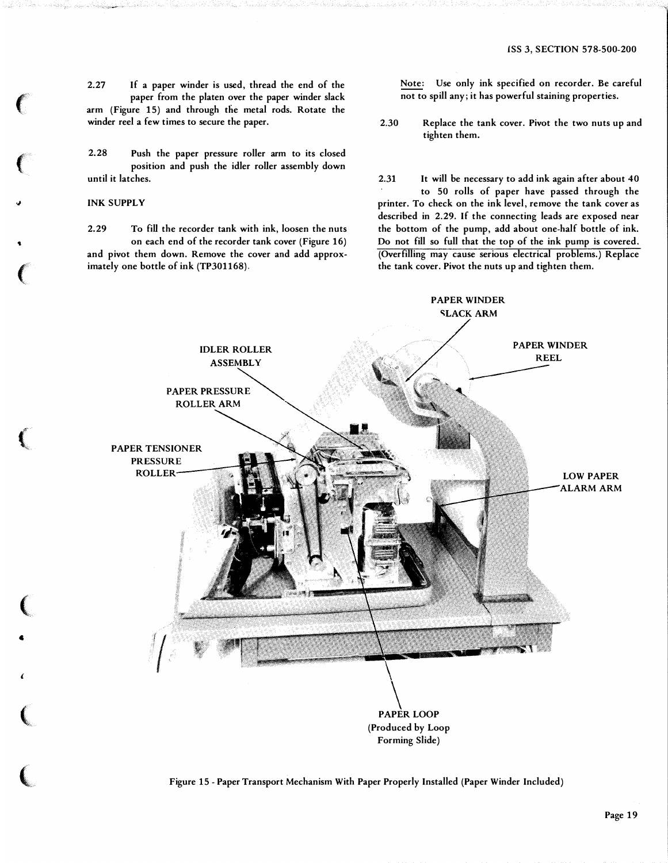2.27 If a paper winder is used, thread the end of the paper from the platen over the paper winder slack arm (Figure 15) and through die metal rods. Rotate the winder reel a few times to secure the paper.

2.28 Push the paper pressure roller arm to its closed position and push the idler roller assembly down until it latches.

## INK SUPPLY

 $\epsilon$ 

 $\left($ 

�

 $\ddot{\phantom{0}}$ 

 $\big($ 

 $\left(\begin{smallmatrix} 1 & 0 & 0 \ 0 & 0 & 0 & 0 \ 0 & 0 & 0 & 0 \end{smallmatrix}\right)$ 

(

4

(

(

 $\big($ 

2.29 To fill the recorder tank with ink, loosen the nuts on each end of the recorder tank cover (Figure 16) and pivot them down. Remove the cover and add approximately one bottle of ink (TP301168).

Note: Use only ink specified on recorder. Be careful not to spill any; it has powerful staining properties.

2.30 Replace the tank cover. Pivot the two nuts up and tighten them.

2.31 It will be necessary to add ink again after about 40 to 50 rolls of paper have passed through the printer. To check on the ink level, remove the tank cover as described in 2.29. If the connecting leads are exposed near the bottom of the pump, add about one-half bottle of ink. Do not fill so full that the top of the ink pump is covered. (Overfilling may cause serious electrical problems.) Replace the tank cover. Pivot the nuts up and tighten them.